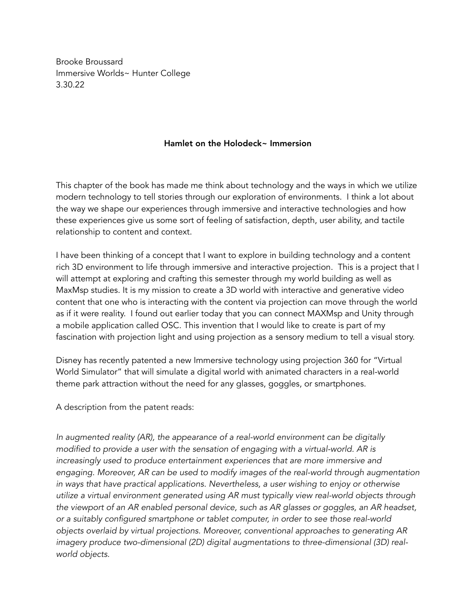Brooke Broussard Immersive Worlds~ Hunter College 3.30.22

## Hamlet on the Holodeck~ Immersion

This chapter of the book has made me think about technology and the ways in which we utilize modern technology to tell stories through our exploration of environments. I think a lot about the way we shape our experiences through immersive and interactive technologies and how these experiences give us some sort of feeling of satisfaction, depth, user ability, and tactile relationship to content and context.

I have been thinking of a concept that I want to explore in building technology and a content rich 3D environment to life through immersive and interactive projection. This is a project that I will attempt at exploring and crafting this semester through my world building as well as MaxMsp studies. It is my mission to create a 3D world with interactive and generative video content that one who is interacting with the content via projection can move through the world as if it were reality. I found out earlier today that you can connect MAXMsp and Unity through a mobile application called OSC. This invention that I would like to create is part of my fascination with projection light and using projection as a sensory medium to tell a visual story.

Disney has recently patented a new Immersive technology using projection 360 for "Virtual World Simulator" that will simulate a digital world with animated characters in a real-world theme park attraction without the need for any glasses, goggles, or smartphones.

A description from the patent reads:

*In augmented reality (AR), the appearance of a real-world environment can be digitally modified to provide a user with the sensation of engaging with a virtual-world. AR is increasingly used to produce entertainment experiences that are more immersive and engaging. Moreover, AR can be used to modify images of the real-world through augmentation in ways that have practical applications. Nevertheless, a user wishing to enjoy or otherwise utilize a virtual environment generated using AR must typically view real-world objects through the viewport of an AR enabled personal device, such as AR glasses or goggles, an AR headset, or a suitably configured smartphone or tablet computer, in order to see those real-world objects overlaid by virtual projections. Moreover, conventional approaches to generating AR imagery produce two-dimensional (2D) digital augmentations to three-dimensional (3D) realworld objects.*